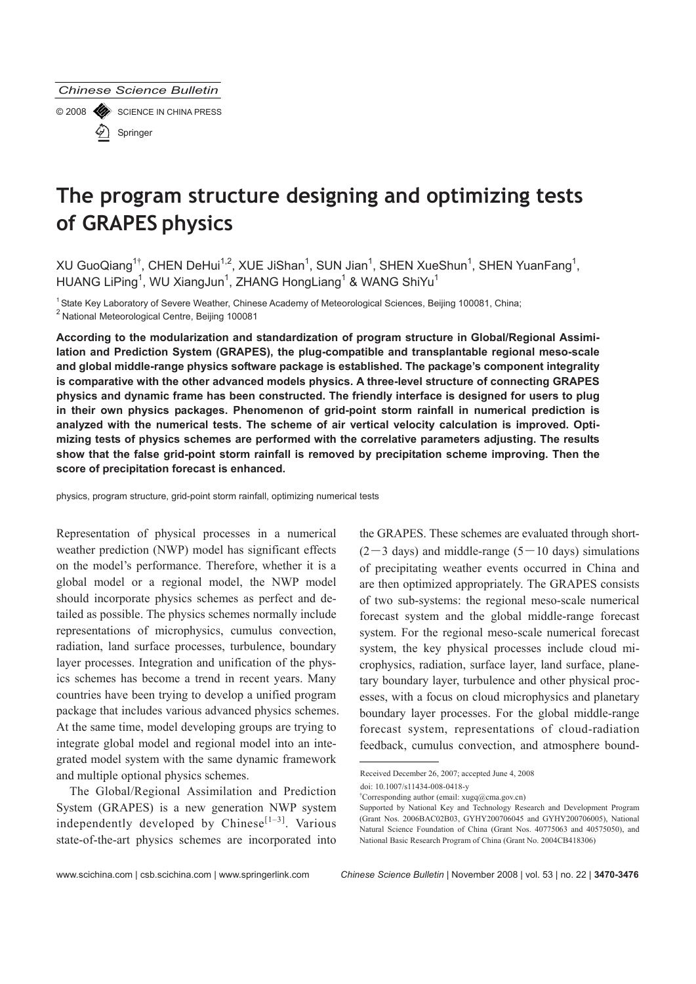© 2008 SCIENCE IN CHINA PRESS Springer

# **The program structure designing and optimizing tests of GRAPES physics**

XU GuoQiang<sup>1†</sup>, CHEN DeHui<sup>1,2</sup>, XUE JiShan<sup>1</sup>, SUN Jian<sup>1</sup>, SHEN XueShun<sup>1</sup>, SHEN YuanFang<sup>1</sup>, HUANG LiPing<sup>1</sup>, WU XiangJun<sup>1</sup>, ZHANG HongLiang<sup>1</sup> & WANG ShiYu<sup>1</sup>

<sup>1</sup> State Key Laboratory of Severe Weather, Chinese Academy of Meteorological Sciences, Beijing 100081, China;  $^2$  National Meteorological Centre, Beijing 100081

**According to the modularization and standardization of program structure in Global/Regional Assimilation and Prediction System (GRAPES), the plug-compatible and transplantable regional meso-scale and global middle-range physics software package is established. The package's component integrality is comparative with the other advanced models physics. A three-level structure of connecting GRAPES physics and dynamic frame has been constructed. The friendly interface is designed for users to plug in their own physics packages. Phenomenon of grid-point storm rainfall in numerical prediction is analyzed with the numerical tests. The scheme of air vertical velocity calculation is improved. Optimizing tests of physics schemes are performed with the correlative parameters adjusting. The results show that the false grid-point storm rainfall is removed by precipitation scheme improving. Then the score of precipitation forecast is enhanced.** 

physics, program structure, grid-point storm rainfall, optimizing numerical tests

Representation of physical processes in a numerical weather prediction (NWP) model has significant effects on the model's performance. Therefore, whether it is a global model or a regional model, the NWP model should incorporate physics schemes as perfect and detailed as possible. The physics schemes normally include representations of microphysics, cumulus convection, radiation, land surface processes, turbulence, boundary layer processes. Integration and unification of the physics schemes has become a trend in recent years. Many countries have been trying to develop a unified program package that includes various advanced physics schemes. At the same time, model developing groups are trying to integrate global model and regional model into an integrated model system with the same dynamic framework and multiple optional physics schemes.

The Global/Regional Assimilation and Prediction System (GRAPES) is a new generation NWP system independently developed by Chinese<sup>[1-3]</sup>. Various state-of-the-art physics schemes are incorporated into the GRAPES. These schemes are evaluated through short-  $(2-3$  days) and middle-range  $(5-10$  days) simulations of precipitating weather events occurred in China and are then optimized appropriately. The GRAPES consists of two sub-systems: the regional meso-scale numerical forecast system and the global middle-range forecast system. For the regional meso-scale numerical forecast system, the key physical processes include cloud microphysics, radiation, surface layer, land surface, planetary boundary layer, turbulence and other physical processes, with a focus on cloud microphysics and planetary boundary layer processes. For the global middle-range forecast system, representations of cloud-radiation feedback, cumulus convection, and atmosphere bound-

www.scichina.com | csb.scichina.com | www.springerlink.com *Chinese Science Bulletin* | November 2008 | vol. 53 | no. 22 | **3470-3476**

Received December 26, 2007; accepted June 4, 2008

doi: 10.1007/s11434-008-0418-y

<sup>†</sup> Corresponding author (email: xugq@cma.gov.cn)

Supported by National Key and Technology Research and Development Program (Grant Nos. 2006BAC02B03, GYHY200706045 and GYHY200706005), National Natural Science Foundation of China (Grant Nos. 40775063 and 40575050), and National Basic Research Program of China (Grant No. 2004CB418306)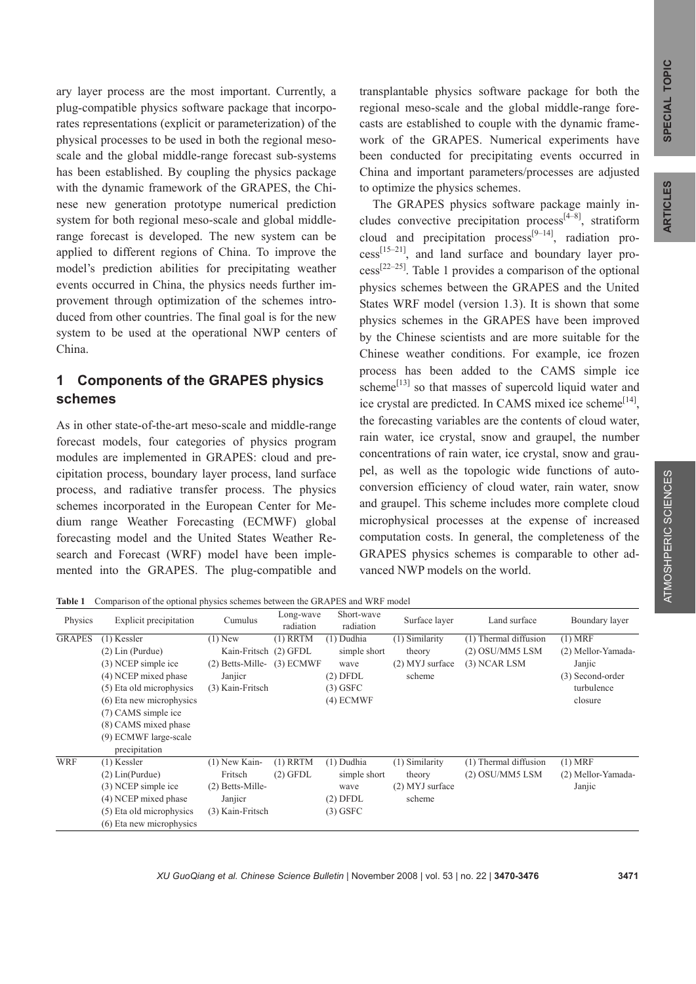ARTICLES

ary layer process are the most important. Currently, a plug-compatible physics software package that incorporates representations (explicit or parameterization) of the physical processes to be used in both the regional mesoscale and the global middle-range forecast sub-systems has been established. By coupling the physics package with the dynamic framework of the GRAPES, the Chinese new generation prototype numerical prediction system for both regional meso-scale and global middlerange forecast is developed. The new system can be applied to different regions of China. To improve the model's prediction abilities for precipitating weather events occurred in China, the physics needs further improvement through optimization of the schemes introduced from other countries. The final goal is for the new system to be used at the operational NWP centers of China.

## **1 Components of the GRAPES physics schemes**

As in other state-of-the-art meso-scale and middle-range forecast models, four categories of physics program modules are implemented in GRAPES: cloud and precipitation process, boundary layer process, land surface process, and radiative transfer process. The physics schemes incorporated in the European Center for Medium range Weather Forecasting (ECMWF) global forecasting model and the United States Weather Research and Forecast (WRF) model have been implemented into the GRAPES. The plug-compatible and

transplantable physics software package for both the regional meso-scale and the global middle-range forecasts are established to couple with the dynamic framework of the GRAPES. Numerical experiments have been conducted for precipitating events occurred in China and important parameters/processes are adjusted to optimize the physics schemes.

The GRAPES physics software package mainly includes convective precipitation process<sup>[4–8]</sup>, stratiform cloud and precipitation process<sup>[9–14]</sup>, radiation pro $cess^{[15-21]}$ , and land surface and boundary layer process[22–25]. Table 1 provides a comparison of the optional physics schemes between the GRAPES and the United States WRF model (version 1.3). It is shown that some physics schemes in the GRAPES have been improved by the Chinese scientists and are more suitable for the Chinese weather conditions. For example, ice frozen process has been added to the CAMS simple ice scheme $^{[13]}$  so that masses of supercold liquid water and ice crystal are predicted. In CAMS mixed ice scheme<sup>[14]</sup>, the forecasting variables are the contents of cloud water, rain water, ice crystal, snow and graupel, the number concentrations of rain water, ice crystal, snow and graupel, as well as the topologic wide functions of autoconversion efficiency of cloud water, rain water, snow and graupel. This scheme includes more complete cloud microphysical processes at the expense of increased computation costs. In general, the completeness of the GRAPES physics schemes is comparable to other advanced NWP models on the world.

**Table 1** Comparison of the optional physics schemes between the GRAPES and WRF model

| Physics       | Explicit precipitation                                                                                                                                                                                                              | Cumulus                                                                                 | Long-wave<br>radiation    | Short-wave<br>radiation                                                         | Surface layer                                           | Land surface                                               | Boundary layer                                                                         |
|---------------|-------------------------------------------------------------------------------------------------------------------------------------------------------------------------------------------------------------------------------------|-----------------------------------------------------------------------------------------|---------------------------|---------------------------------------------------------------------------------|---------------------------------------------------------|------------------------------------------------------------|----------------------------------------------------------------------------------------|
| <b>GRAPES</b> | $(1)$ Kessler<br>$(2)$ Lin (Purdue)<br>(3) NCEP simple ice<br>(4) NCEP mixed phase<br>(5) Eta old microphysics<br>(6) Eta new microphysics<br>(7) CAMS simple ice<br>(8) CAMS mixed phase<br>(9) ECMWF large-scale<br>precipitation | $(1)$ New<br>Kain-Fritsch (2) GFDL<br>$(2)$ Betts-Mille-<br>Janjicr<br>(3) Kain-Fritsch | $(1)$ RRTM<br>$(3)$ ECMWF | $(1)$ Dudhia<br>simple short<br>wave<br>$(2)$ DFDL<br>$(3)$ GSFC<br>$(4)$ ECMWF | (1) Similarity<br>theory<br>$(2)$ MYJ surface<br>scheme | (1) Thermal diffusion<br>(2) OSU/MM5 LSM<br>$(3)$ NCAR LSM | $(1)$ MRF<br>(2) Mellor-Yamada-<br>Janjic<br>(3) Second-order<br>turbulence<br>closure |
| <b>WRF</b>    | $(1)$ Kessler<br>$(2)$ Lin(Purdue)<br>(3) NCEP simple ice<br>(4) NCEP mixed phase<br>(5) Eta old microphysics<br>(6) Eta new microphysics                                                                                           | $(1)$ New Kain-<br>Fritsch<br>$(2)$ Betts-Mille-<br>Janjicr<br>(3) Kain-Fritsch         | $(1)$ RRTM<br>$(2)$ GFDL  | $(1)$ Dudhia<br>simple short<br>wave<br>$(2)$ DFDL<br>$(3)$ GSFC                | (1) Similarity<br>theory<br>(2) MYJ surface<br>scheme   | (1) Thermal diffusion<br>(2) OSU/MM5 LSM                   | $(1)$ MRF<br>(2) Mellor-Yamada-<br>Janjic                                              |

 *XU GuoQiang et al. Chinese Science Bulletin* | November 2008 | vol. 53 | no. 22 | **3470-3476 3471**

ATMOSHPERIC SCIENCES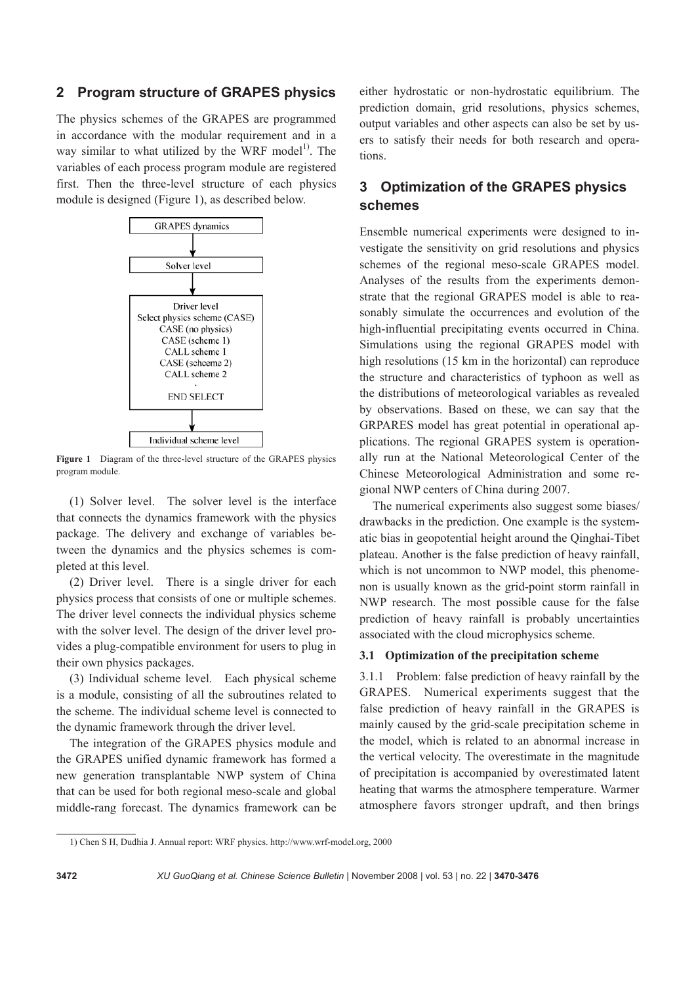## **2 Program structure of GRAPES physics**

The physics schemes of the GRAPES are programmed in accordance with the modular requirement and in a way similar to what utilized by the WRF model<sup>1)</sup>. The variables of each process program module are registered first. Then the three-level structure of each physics module is designed (Figure 1), as described below.



**Figure 1** Diagram of the three-level structure of the GRAPES physics program module.

(1) Solver level. The solver level is the interface that connects the dynamics framework with the physics package. The delivery and exchange of variables between the dynamics and the physics schemes is completed at this level.

(2) Driver level. There is a single driver for each physics process that consists of one or multiple schemes. The driver level connects the individual physics scheme with the solver level. The design of the driver level provides a plug-compatible environment for users to plug in their own physics packages.

(3) Individual scheme level. Each physical scheme is a module, consisting of all the subroutines related to the scheme. The individual scheme level is connected to the dynamic framework through the driver level.

The integration of the GRAPES physics module and the GRAPES unified dynamic framework has formed a new generation transplantable NWP system of China that can be used for both regional meso-scale and global middle-rang forecast. The dynamics framework can be either hydrostatic or non-hydrostatic equilibrium. The prediction domain, grid resolutions, physics schemes, output variables and other aspects can also be set by users to satisfy their needs for both research and operations.

## **3 Optimization of the GRAPES physics schemes**

Ensemble numerical experiments were designed to investigate the sensitivity on grid resolutions and physics schemes of the regional meso-scale GRAPES model. Analyses of the results from the experiments demonstrate that the regional GRAPES model is able to reasonably simulate the occurrences and evolution of the high-influential precipitating events occurred in China. Simulations using the regional GRAPES model with high resolutions (15 km in the horizontal) can reproduce the structure and characteristics of typhoon as well as the distributions of meteorological variables as revealed by observations. Based on these, we can say that the GRPARES model has great potential in operational applications. The regional GRAPES system is operationally run at the National Meteorological Center of the Chinese Meteorological Administration and some regional NWP centers of China during 2007.

The numerical experiments also suggest some biases/ drawbacks in the prediction. One example is the systematic bias in geopotential height around the Qinghai-Tibet plateau. Another is the false prediction of heavy rainfall, which is not uncommon to NWP model, this phenomenon is usually known as the grid-point storm rainfall in NWP research. The most possible cause for the false prediction of heavy rainfall is probably uncertainties associated with the cloud microphysics scheme.

#### **3.1 Optimization of the precipitation scheme**

3.1.1 Problem: false prediction of heavy rainfall by the GRAPES. Numerical experiments suggest that the false prediction of heavy rainfall in the GRAPES is mainly caused by the grid-scale precipitation scheme in the model, which is related to an abnormal increase in the vertical velocity. The overestimate in the magnitude of precipitation is accompanied by overestimated latent heating that warms the atmosphere temperature. Warmer atmosphere favors stronger updraft, and then brings

l

<sup>1)</sup> Chen S H, Dudhia J. Annual report: WRF physics. http://www.wrf-model.org, 2000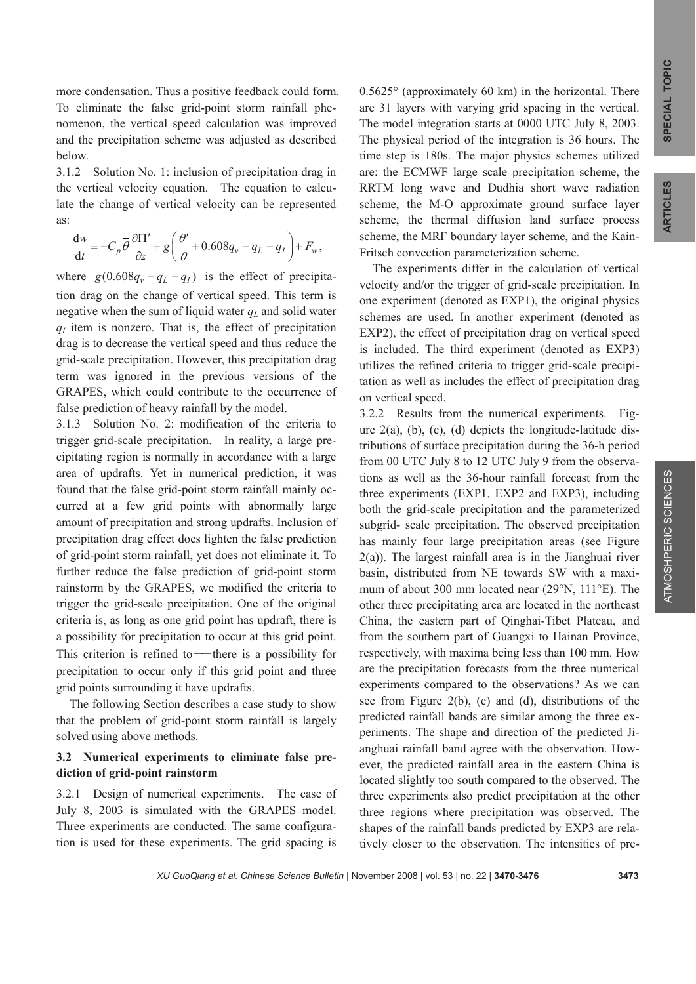ATMOSHPERIC SCIENCES

more condensation. Thus a positive feedback could form. To eliminate the false grid-point storm rainfall phenomenon, the vertical speed calculation was improved and the precipitation scheme was adjusted as described below.

3.1.2 Solution No. 1: inclusion of precipitation drag in the vertical velocity equation. The equation to calculate the change of vertical velocity can be represented as:

$$
\frac{\mathrm{d}w}{\mathrm{d}t} \equiv -C_p \overline{\theta} \frac{\partial \Pi'}{\partial z} + g \left( \frac{\theta'}{\overline{\theta}} + 0.608 q_v - q_L - q_I \right) + F_w,
$$

where  $g(0.608q_v - q_l - q_l)$  is the effect of precipitation drag on the change of vertical speed. This term is negative when the sum of liquid water  $q_L$  and solid water  $q<sub>I</sub>$  item is nonzero. That is, the effect of precipitation drag is to decrease the vertical speed and thus reduce the grid-scale precipitation. However, this precipitation drag term was ignored in the previous versions of the GRAPES, which could contribute to the occurrence of false prediction of heavy rainfall by the model.

3.1.3 Solution No. 2: modification of the criteria to trigger grid-scale precipitation. In reality, a large precipitating region is normally in accordance with a large area of updrafts. Yet in numerical prediction, it was found that the false grid-point storm rainfall mainly occurred at a few grid points with abnormally large amount of precipitation and strong updrafts. Inclusion of precipitation drag effect does lighten the false prediction of grid-point storm rainfall, yet does not eliminate it. To further reduce the false prediction of grid-point storm rainstorm by the GRAPES, we modified the criteria to trigger the grid-scale precipitation. One of the original criteria is, as long as one grid point has updraft, there is a possibility for precipitation to occur at this grid point. This criterion is refined to — there is a possibility for precipitation to occur only if this grid point and three grid points surrounding it have updrafts.

The following Section describes a case study to show that the problem of grid-point storm rainfall is largely solved using above methods.

### **3.2 Numerical experiments to eliminate false prediction of grid-point rainstorm**

3.2.1 Design of numerical experiments. The case of July 8, 2003 is simulated with the GRAPES model. Three experiments are conducted. The same configuration is used for these experiments. The grid spacing is

0.5625° (approximately 60 km) in the horizontal. There are 31 layers with varying grid spacing in the vertical. The model integration starts at 0000 UTC July 8, 2003. The physical period of the integration is 36 hours. The time step is 180s. The major physics schemes utilized are: the ECMWF large scale precipitation scheme, the RRTM long wave and Dudhia short wave radiation scheme, the M-O approximate ground surface layer scheme, the thermal diffusion land surface process scheme, the MRF boundary layer scheme, and the Kain-Fritsch convection parameterization scheme.

The experiments differ in the calculation of vertical velocity and/or the trigger of grid-scale precipitation. In one experiment (denoted as EXP1), the original physics schemes are used. In another experiment (denoted as EXP2), the effect of precipitation drag on vertical speed is included. The third experiment (denoted as EXP3) utilizes the refined criteria to trigger grid-scale precipitation as well as includes the effect of precipitation drag on vertical speed.

3.2.2 Results from the numerical experiments. Figure  $2(a)$ , (b), (c), (d) depicts the longitude-latitude distributions of surface precipitation during the 36-h period from 00 UTC July 8 to 12 UTC July 9 from the observations as well as the 36-hour rainfall forecast from the three experiments (EXP1, EXP2 and EXP3), including both the grid-scale precipitation and the parameterized subgrid- scale precipitation. The observed precipitation has mainly four large precipitation areas (see Figure 2(a)). The largest rainfall area is in the Jianghuai river basin, distributed from NE towards SW with a maximum of about 300 mm located near (29°N, 111°E). The other three precipitating area are located in the northeast China, the eastern part of Qinghai-Tibet Plateau, and from the southern part of Guangxi to Hainan Province, respectively, with maxima being less than 100 mm. How are the precipitation forecasts from the three numerical experiments compared to the observations? As we can see from Figure 2(b), (c) and (d), distributions of the predicted rainfall bands are similar among the three experiments. The shape and direction of the predicted Jianghuai rainfall band agree with the observation. However, the predicted rainfall area in the eastern China is located slightly too south compared to the observed. The three experiments also predict precipitation at the other three regions where precipitation was observed. The shapes of the rainfall bands predicted by EXP3 are relatively closer to the observation. The intensities of pre-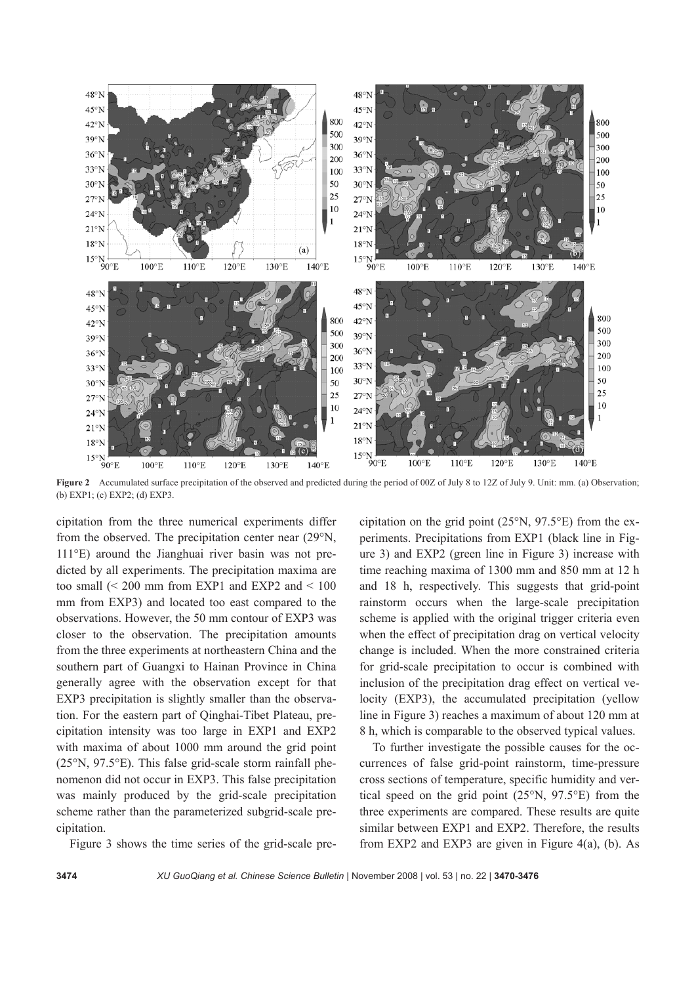

**Figure 2** Accumulated surface precipitation of the observed and predicted during the period of 00Z of July 8 to 12Z of July 9. Unit: mm. (a) Observation; (b) EXP1; (c) EXP2; (d) EXP3.

cipitation from the three numerical experiments differ from the observed. The precipitation center near (29°N, 111°E) around the Jianghuai river basin was not predicted by all experiments. The precipitation maxima are too small  $\approx 200$  mm from EXP1 and EXP2 and  $\leq 100$ mm from EXP3) and located too east compared to the observations. However, the 50 mm contour of EXP3 was closer to the observation. The precipitation amounts from the three experiments at northeastern China and the southern part of Guangxi to Hainan Province in China generally agree with the observation except for that EXP3 precipitation is slightly smaller than the observation. For the eastern part of Qinghai-Tibet Plateau, precipitation intensity was too large in EXP1 and EXP2 with maxima of about 1000 mm around the grid point (25°N, 97.5°E). This false grid-scale storm rainfall phenomenon did not occur in EXP3. This false precipitation was mainly produced by the grid-scale precipitation scheme rather than the parameterized subgrid-scale precipitation.

Figure 3 shows the time series of the grid-scale pre-

cipitation on the grid point  $(25^{\circ}N, 97.5^{\circ}E)$  from the experiments. Precipitations from EXP1 (black line in Figure 3) and EXP2 (green line in Figure 3) increase with time reaching maxima of 1300 mm and 850 mm at 12 h and 18 h, respectively. This suggests that grid-point rainstorm occurs when the large-scale precipitation scheme is applied with the original trigger criteria even when the effect of precipitation drag on vertical velocity change is included. When the more constrained criteria for grid-scale precipitation to occur is combined with inclusion of the precipitation drag effect on vertical velocity (EXP3), the accumulated precipitation (yellow line in Figure 3) reaches a maximum of about 120 mm at 8 h, which is comparable to the observed typical values.

To further investigate the possible causes for the occurrences of false grid-point rainstorm, time-pressure cross sections of temperature, specific humidity and vertical speed on the grid point (25°N, 97.5°E) from the three experiments are compared. These results are quite similar between EXP1 and EXP2. Therefore, the results from EXP2 and EXP3 are given in Figure  $4(a)$ , (b). As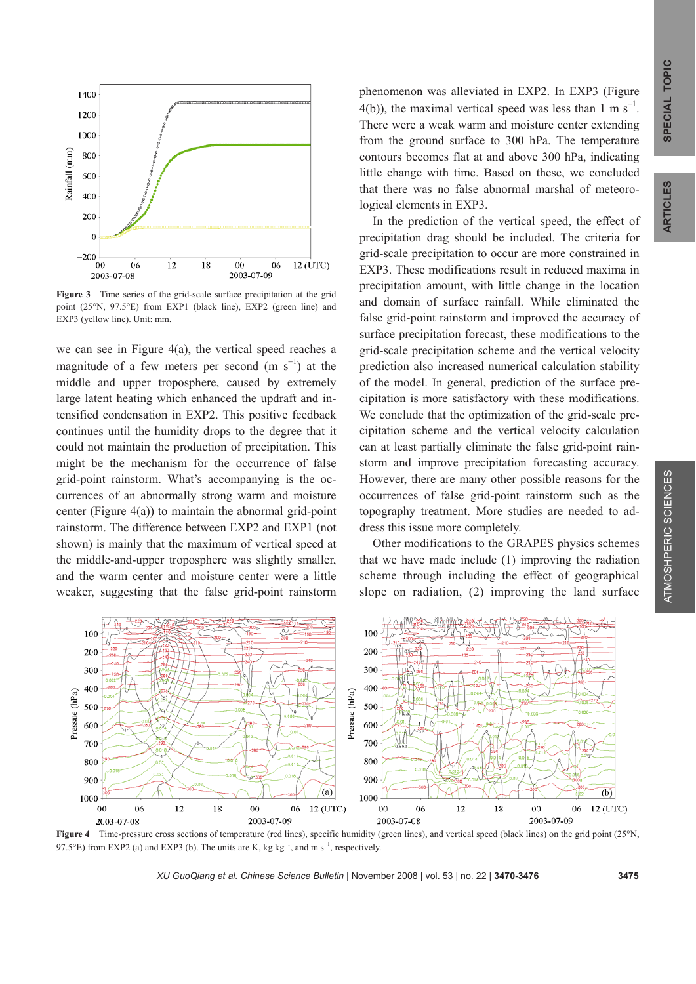

**Figure 3** Time series of the grid-scale surface precipitation at the grid point (25°N, 97.5°E) from EXP1 (black line), EXP2 (green line) and EXP3 (yellow line). Unit: mm.

we can see in Figure 4(a), the vertical speed reaches a magnitude of a few meters per second  $(m s<sup>-1</sup>)$  at the middle and upper troposphere, caused by extremely large latent heating which enhanced the updraft and intensified condensation in EXP2. This positive feedback continues until the humidity drops to the degree that it could not maintain the production of precipitation. This might be the mechanism for the occurrence of false grid-point rainstorm. What's accompanying is the occurrences of an abnormally strong warm and moisture center (Figure  $4(a)$ ) to maintain the abnormal grid-point rainstorm. The difference between EXP2 and EXP1 (not shown) is mainly that the maximum of vertical speed at the middle-and-upper troposphere was slightly smaller, and the warm center and moisture center were a little weaker, suggesting that the false grid-point rainstorm

phenomenon was alleviated in EXP2. In EXP3 (Figure 4(b)), the maximal vertical speed was less than 1 m s<sup>-1</sup>. There were a weak warm and moisture center extending from the ground surface to 300 hPa. The temperature contours becomes flat at and above 300 hPa, indicating little change with time. Based on these, we concluded that there was no false abnormal marshal of meteorological elements in EXP3.

In the prediction of the vertical speed, the effect of precipitation drag should be included. The criteria for grid-scale precipitation to occur are more constrained in EXP3. These modifications result in reduced maxima in precipitation amount, with little change in the location and domain of surface rainfall. While eliminated the false grid-point rainstorm and improved the accuracy of surface precipitation forecast, these modifications to the grid-scale precipitation scheme and the vertical velocity prediction also increased numerical calculation stability of the model. In general, prediction of the surface precipitation is more satisfactory with these modifications. We conclude that the optimization of the grid-scale precipitation scheme and the vertical velocity calculation can at least partially eliminate the false grid-point rainstorm and improve precipitation forecasting accuracy. However, there are many other possible reasons for the occurrences of false grid-point rainstorm such as the topography treatment. More studies are needed to address this issue more completely.

Other modifications to the GRAPES physics schemes that we have made include (1) improving the radiation scheme through including the effect of geographical slope on radiation, (2) improving the land surface



**Figure 4** Time-pressure cross sections of temperature (red lines), specific humidity (green lines), and vertical speed (black lines) on the grid point (25°N, 97.5°E) from EXP2 (a) and EXP3 (b). The units are K, kg kg<sup>-1</sup>, and m s<sup>-1</sup>, respectively.

 *XU GuoQiang et al. Chinese Science Bulletin* | November 2008 | vol. 53 | no. 22 | **3470-3476 3475**